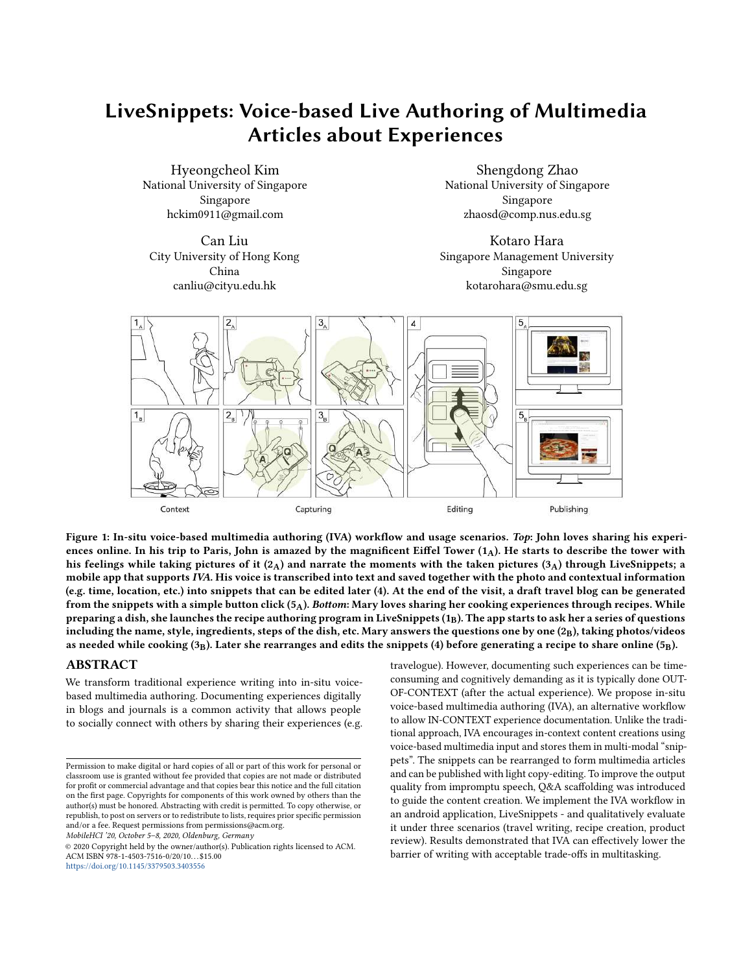# LiveSnippets: Voice-based Live Authoring of Multimedia Articles about Experiences

Hyeongcheol Kim National University of Singapore Singapore hckim0911@gmail.com

Can Liu City University of Hong Kong China canliu@cityu.edu.hk

Shengdong Zhao National University of Singapore Singapore zhaosd@comp.nus.edu.sg

Kotaro Hara Singapore Management University Singapore kotarohara@smu.edu.sg

<span id="page-0-0"></span>

Figure 1: In-situ voice-based multimedia authoring (IVA) workflow and usage scenarios. Top: John loves sharing his experiences online. In his trip to Paris, John is amazed by the magnificent Eiffel Tower  $(1_A)$ . He starts to describe the tower with his feelings while taking pictures of it  $(2_A)$  and narrate the moments with the taken pictures  $(3_A)$  through LiveSnippets; a mobile app that supports IVA. His voice is transcribed into text and saved together with the photo and contextual information (e.g. time, location, etc.) into snippets that can be edited later (4). At the end of the visit, a draft travel blog can be generated from the snippets with a simple button click  $(5_A)$ . Bottom: Mary loves sharing her cooking experiences through recipes. While preparing a dish, she launches the recipe authoring program in LiveSnippets  $(1_B)$ . The app starts to ask her a series of questions including the name, style, ingredients, steps of the dish, etc. Mary answers the questions one by one  $(2_B)$ , taking photos/videos as needed while cooking  $(3_B)$ . Later she rearranges and edits the snippets (4) before generating a recipe to share online (5<sub>B</sub>).

#### ABSTRACT

We transform traditional experience writing into in-situ voicebased multimedia authoring. Documenting experiences digitally in blogs and journals is a common activity that allows people to socially connect with others by sharing their experiences (e.g.

MobileHCI '20, October 5–8, 2020, Oldenburg, Germany

© 2020 Copyright held by the owner/author(s). Publication rights licensed to ACM. ACM ISBN 978-1-4503-7516-0/20/10. . . \$15.00 <https://doi.org/10.1145/3379503.3403556>

travelogue). However, documenting such experiences can be timeconsuming and cognitively demanding as it is typically done OUT-OF-CONTEXT (after the actual experience). We propose in-situ voice-based multimedia authoring (IVA), an alternative workflow to allow IN-CONTEXT experience documentation. Unlike the traditional approach, IVA encourages in-context content creations using voice-based multimedia input and stores them in multi-modal "snippets". The snippets can be rearranged to form multimedia articles and can be published with light copy-editing. To improve the output quality from impromptu speech, Q&A scaffolding was introduced to guide the content creation. We implement the IVA workflow in an android application, LiveSnippets - and qualitatively evaluate it under three scenarios (travel writing, recipe creation, product review). Results demonstrated that IVA can effectively lower the barrier of writing with acceptable trade-offs in multitasking.

Permission to make digital or hard copies of all or part of this work for personal or classroom use is granted without fee provided that copies are not made or distributed for profit or commercial advantage and that copies bear this notice and the full citation on the first page. Copyrights for components of this work owned by others than the author(s) must be honored. Abstracting with credit is permitted. To copy otherwise, or republish, to post on servers or to redistribute to lists, requires prior specific permission and/or a fee. Request permissions from permissions@acm.org.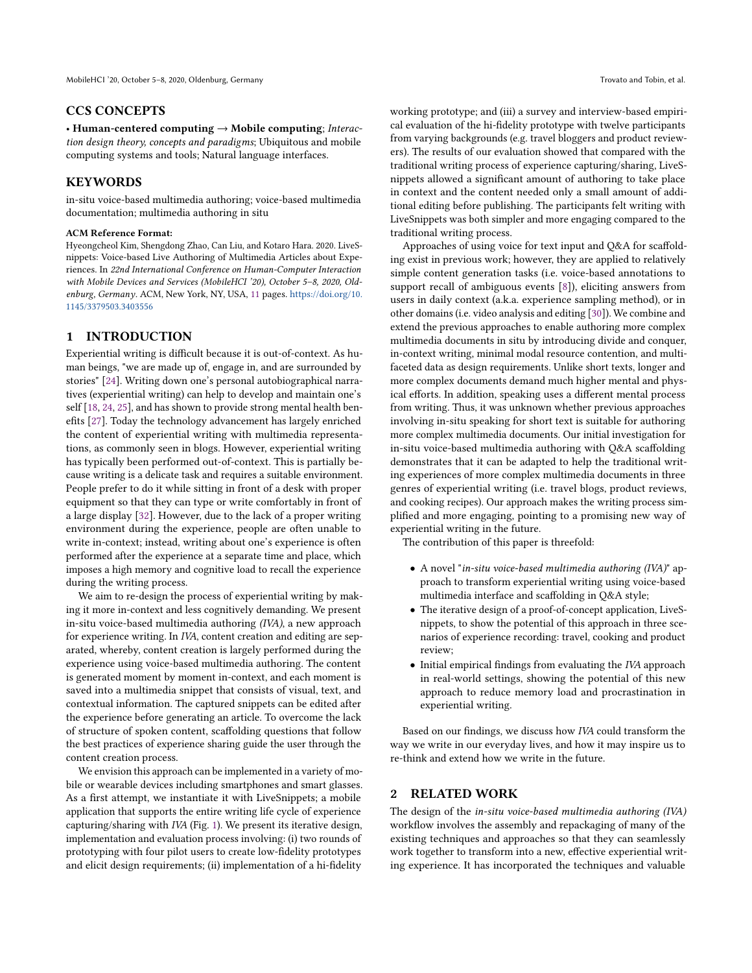#### CCS CONCEPTS

• Human-centered computing → Mobile computing; Interaction design theory, concepts and paradigms; Ubiquitous and mobile computing systems and tools; Natural language interfaces.

### **KEYWORDS**

in-situ voice-based multimedia authoring; voice-based multimedia documentation; multimedia authoring in situ

#### ACM Reference Format:

Hyeongcheol Kim, Shengdong Zhao, Can Liu, and Kotaro Hara. 2020. LiveSnippets: Voice-based Live Authoring of Multimedia Articles about Experiences. In 22nd International Conference on Human-Computer Interaction with Mobile Devices and Services (MobileHCI '20), October 5–8, 2020, Oldenburg, Germany. ACM, New York, NY, USA, [11](#page-10-0) pages. [https://doi.org/10.](https://doi.org/10.1145/3379503.3403556) [1145/3379503.3403556](https://doi.org/10.1145/3379503.3403556)

#### 1 INTRODUCTION

Experiential writing is difficult because it is out-of-context. As human beings, "we are made up of, engage in, and are surrounded by stories" [\[24\]](#page-10-1). Writing down one's personal autobiographical narratives (experiential writing) can help to develop and maintain one's self [\[18,](#page-10-2) [24,](#page-10-1) [25\]](#page-10-3), and has shown to provide strong mental health benefits [\[27\]](#page-10-4). Today the technology advancement has largely enriched the content of experiential writing with multimedia representations, as commonly seen in blogs. However, experiential writing has typically been performed out-of-context. This is partially because writing is a delicate task and requires a suitable environment. People prefer to do it while sitting in front of a desk with proper equipment so that they can type or write comfortably in front of a large display [\[32\]](#page-10-5). However, due to the lack of a proper writing environment during the experience, people are often unable to write in-context; instead, writing about one's experience is often performed after the experience at a separate time and place, which imposes a high memory and cognitive load to recall the experience during the writing process.

We aim to re-design the process of experiential writing by making it more in-context and less cognitively demanding. We present in-situ voice-based multimedia authoring (IVA), a new approach for experience writing. In IVA, content creation and editing are separated, whereby, content creation is largely performed during the experience using voice-based multimedia authoring. The content is generated moment by moment in-context, and each moment is saved into a multimedia snippet that consists of visual, text, and contextual information. The captured snippets can be edited after the experience before generating an article. To overcome the lack of structure of spoken content, scaffolding questions that follow the best practices of experience sharing guide the user through the content creation process.

We envision this approach can be implemented in a variety of mobile or wearable devices including smartphones and smart glasses. As a first attempt, we instantiate it with LiveSnippets; a mobile application that supports the entire writing life cycle of experience capturing/sharing with IVA (Fig. [1\)](#page-0-0). We present its iterative design, implementation and evaluation process involving: (i) two rounds of prototyping with four pilot users to create low-fidelity prototypes and elicit design requirements; (ii) implementation of a hi-fidelity

working prototype; and (iii) a survey and interview-based empirical evaluation of the hi-fidelity prototype with twelve participants from varying backgrounds (e.g. travel bloggers and product reviewers). The results of our evaluation showed that compared with the traditional writing process of experience capturing/sharing, LiveSnippets allowed a significant amount of authoring to take place in context and the content needed only a small amount of additional editing before publishing. The participants felt writing with LiveSnippets was both simpler and more engaging compared to the traditional writing process.

Approaches of using voice for text input and Q&A for scaffolding exist in previous work; however, they are applied to relatively simple content generation tasks (i.e. voice-based annotations to support recall of ambiguous events [\[8\]](#page-10-6)), eliciting answers from users in daily context (a.k.a. experience sampling method), or in other domains (i.e. video analysis and editing [\[30\]](#page-10-7)). We combine and extend the previous approaches to enable authoring more complex multimedia documents in situ by introducing divide and conquer, in-context writing, minimal modal resource contention, and multifaceted data as design requirements. Unlike short texts, longer and more complex documents demand much higher mental and physical efforts. In addition, speaking uses a different mental process from writing. Thus, it was unknown whether previous approaches involving in-situ speaking for short text is suitable for authoring more complex multimedia documents. Our initial investigation for in-situ voice-based multimedia authoring with Q&A scaffolding demonstrates that it can be adapted to help the traditional writing experiences of more complex multimedia documents in three genres of experiential writing (i.e. travel blogs, product reviews, and cooking recipes). Our approach makes the writing process simplified and more engaging, pointing to a promising new way of experiential writing in the future.

The contribution of this paper is threefold:

- A novel "in-situ voice-based multimedia authoring (IVA)" approach to transform experiential writing using voice-based multimedia interface and scaffolding in Q&A style;
- The iterative design of a proof-of-concept application, LiveSnippets, to show the potential of this approach in three scenarios of experience recording: travel, cooking and product review;
- Initial empirical findings from evaluating the IVA approach in real-world settings, showing the potential of this new approach to reduce memory load and procrastination in experiential writing.

Based on our findings, we discuss how IVA could transform the way we write in our everyday lives, and how it may inspire us to re-think and extend how we write in the future.

#### 2 RELATED WORK

The design of the in-situ voice-based multimedia authoring (IVA) workflow involves the assembly and repackaging of many of the existing techniques and approaches so that they can seamlessly work together to transform into a new, effective experiential writing experience. It has incorporated the techniques and valuable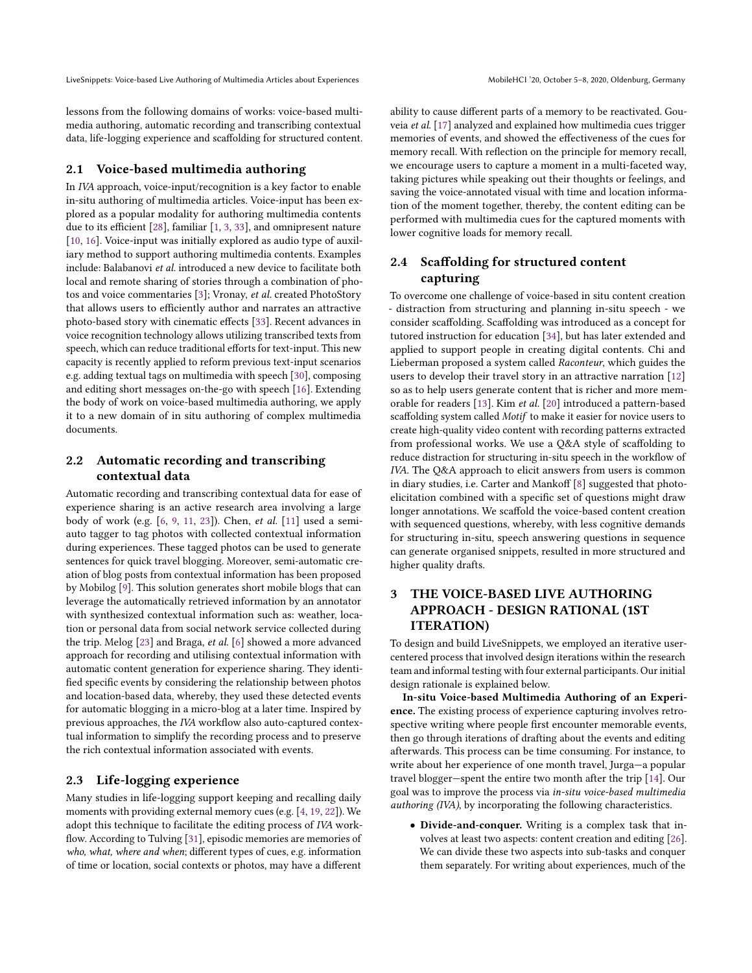lessons from the following domains of works: voice-based multimedia authoring, automatic recording and transcribing contextual data, life-logging experience and scaffolding for structured content.

#### 2.1 Voice-based multimedia authoring

In IVA approach, voice-input/recognition is a key factor to enable in-situ authoring of multimedia articles. Voice-input has been explored as a popular modality for authoring multimedia contents due to its efficient [\[28\]](#page-10-8), familiar [\[1,](#page-10-9) [3,](#page-10-10) [33\]](#page-10-11), and omnipresent nature [\[10,](#page-10-12) [16\]](#page-10-13). Voice-input was initially explored as audio type of auxiliary method to support authoring multimedia contents. Examples include: Balabanovi et al. introduced a new device to facilitate both local and remote sharing of stories through a combination of photos and voice commentaries [\[3\]](#page-10-10); Vronay, et al. created PhotoStory that allows users to efficiently author and narrates an attractive photo-based story with cinematic effects [\[33\]](#page-10-11). Recent advances in voice recognition technology allows utilizing transcribed texts from speech, which can reduce traditional efforts for text-input. This new capacity is recently applied to reform previous text-input scenarios e.g. adding textual tags on multimedia with speech [\[30\]](#page-10-7), composing and editing short messages on-the-go with speech [\[16\]](#page-10-13). Extending the body of work on voice-based multimedia authoring, we apply it to a new domain of in situ authoring of complex multimedia documents.

## 2.2 Automatic recording and transcribing contextual data

Automatic recording and transcribing contextual data for ease of experience sharing is an active research area involving a large body of work (e.g. [\[6,](#page-10-14) [9,](#page-10-15) [11,](#page-10-16) [23\]](#page-10-17)). Chen, et al. [\[11\]](#page-10-16) used a semiauto tagger to tag photos with collected contextual information during experiences. These tagged photos can be used to generate sentences for quick travel blogging. Moreover, semi-automatic creation of blog posts from contextual information has been proposed by Mobilog [\[9\]](#page-10-15). This solution generates short mobile blogs that can leverage the automatically retrieved information by an annotator with synthesized contextual information such as: weather, location or personal data from social network service collected during the trip. Melog [\[23\]](#page-10-17) and Braga, et al. [\[6\]](#page-10-14) showed a more advanced approach for recording and utilising contextual information with automatic content generation for experience sharing. They identified specific events by considering the relationship between photos and location-based data, whereby, they used these detected events for automatic blogging in a micro-blog at a later time. Inspired by previous approaches, the IVA workflow also auto-captured contextual information to simplify the recording process and to preserve the rich contextual information associated with events.

### 2.3 Life-logging experience

Many studies in life-logging support keeping and recalling daily moments with providing external memory cues (e.g. [\[4,](#page-10-18) [19,](#page-10-19) [22\]](#page-10-20)). We adopt this technique to facilitate the editing process of IVA workflow. According to Tulving [\[31\]](#page-10-21), episodic memories are memories of who, what, where and when; different types of cues, e.g. information of time or location, social contexts or photos, may have a different

ability to cause different parts of a memory to be reactivated. Gouveia et al. [\[17\]](#page-10-22) analyzed and explained how multimedia cues trigger memories of events, and showed the effectiveness of the cues for memory recall. With reflection on the principle for memory recall, we encourage users to capture a moment in a multi-faceted way, taking pictures while speaking out their thoughts or feelings, and saving the voice-annotated visual with time and location information of the moment together, thereby, the content editing can be performed with multimedia cues for the captured moments with lower cognitive loads for memory recall.

## 2.4 Scaffolding for structured content capturing

To overcome one challenge of voice-based in situ content creation - distraction from structuring and planning in-situ speech - we consider scaffolding. Scaffolding was introduced as a concept for tutored instruction for education [\[34\]](#page-10-23), but has later extended and applied to support people in creating digital contents. Chi and Lieberman proposed a system called Raconteur, which guides the users to develop their travel story in an attractive narration [\[12\]](#page-10-24) so as to help users generate content that is richer and more memorable for readers [\[13\]](#page-10-25). Kim et al. [\[20\]](#page-10-26) introduced a pattern-based scaffolding system called Motif to make it easier for novice users to create high-quality video content with recording patterns extracted from professional works. We use a Q&A style of scaffolding to reduce distraction for structuring in-situ speech in the workflow of IVA. The Q&A approach to elicit answers from users is common in diary studies, i.e. Carter and Mankoff [\[8\]](#page-10-6) suggested that photoelicitation combined with a specific set of questions might draw longer annotations. We scaffold the voice-based content creation with sequenced questions, whereby, with less cognitive demands for structuring in-situ, speech answering questions in sequence can generate organised snippets, resulted in more structured and higher quality drafts.

## 3 THE VOICE-BASED LIVE AUTHORING APPROACH - DESIGN RATIONAL (1ST ITERATION)

To design and build LiveSnippets, we employed an iterative usercentered process that involved design iterations within the research team and informal testing with four external participants. Our initial design rationale is explained below.

In-situ Voice-based Multimedia Authoring of an Experience. The existing process of experience capturing involves retrospective writing where people first encounter memorable events, then go through iterations of drafting about the events and editing afterwards. This process can be time consuming. For instance, to write about her experience of one month travel, Jurga—a popular travel blogger—spent the entire two month after the trip [\[14\]](#page-10-27). Our goal was to improve the process via in-situ voice-based multimedia authoring (IVA), by incorporating the following characteristics.

• Divide-and-conquer. Writing is a complex task that involves at least two aspects: content creation and editing [\[26\]](#page-10-28). We can divide these two aspects into sub-tasks and conquer them separately. For writing about experiences, much of the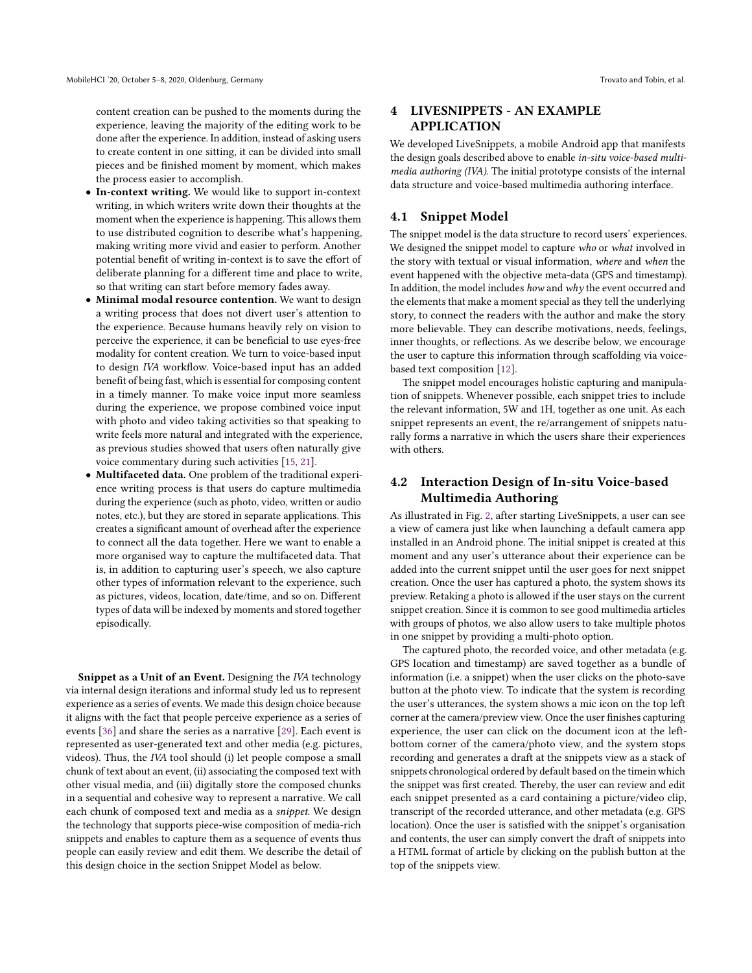content creation can be pushed to the moments during the experience, leaving the majority of the editing work to be done after the experience. In addition, instead of asking users to create content in one sitting, it can be divided into small pieces and be finished moment by moment, which makes the process easier to accomplish.

- In-context writing. We would like to support in-context writing, in which writers write down their thoughts at the moment when the experience is happening. This allows them to use distributed cognition to describe what's happening, making writing more vivid and easier to perform. Another potential benefit of writing in-context is to save the effort of deliberate planning for a different time and place to write, so that writing can start before memory fades away.
- Minimal modal resource contention. We want to design a writing process that does not divert user's attention to the experience. Because humans heavily rely on vision to perceive the experience, it can be beneficial to use eyes-free modality for content creation. We turn to voice-based input to design IVA workflow. Voice-based input has an added benefit of being fast, which is essential for composing content in a timely manner. To make voice input more seamless during the experience, we propose combined voice input with photo and video taking activities so that speaking to write feels more natural and integrated with the experience, as previous studies showed that users often naturally give voice commentary during such activities [\[15,](#page-10-29) [21\]](#page-10-30).
- Multifaceted data. One problem of the traditional experience writing process is that users do capture multimedia during the experience (such as photo, video, written or audio notes, etc.), but they are stored in separate applications. This creates a significant amount of overhead after the experience to connect all the data together. Here we want to enable a more organised way to capture the multifaceted data. That is, in addition to capturing user's speech, we also capture other types of information relevant to the experience, such as pictures, videos, location, date/time, and so on. Different types of data will be indexed by moments and stored together episodically.

Snippet as a Unit of an Event. Designing the IVA technology via internal design iterations and informal study led us to represent experience as a series of events. We made this design choice because it aligns with the fact that people perceive experience as a series of events [\[36\]](#page-10-31) and share the series as a narrative [\[29\]](#page-10-32). Each event is represented as user-generated text and other media (e.g. pictures, videos). Thus, the IVA tool should (i) let people compose a small chunk of text about an event, (ii) associating the composed text with other visual media, and (iii) digitally store the composed chunks in a sequential and cohesive way to represent a narrative. We call each chunk of composed text and media as a snippet. We design the technology that supports piece-wise composition of media-rich snippets and enables to capture them as a sequence of events thus people can easily review and edit them. We describe the detail of this design choice in the section Snippet Model as below.

## 4 LIVESNIPPETS - AN EXAMPLE APPLICATION

We developed LiveSnippets, a mobile Android app that manifests the design goals described above to enable in-situ voice-based multimedia authoring (IVA). The initial prototype consists of the internal data structure and voice-based multimedia authoring interface.

#### 4.1 Snippet Model

The snippet model is the data structure to record users' experiences. We designed the snippet model to capture who or what involved in the story with textual or visual information, where and when the event happened with the objective meta-data (GPS and timestamp). In addition, the model includes how and why the event occurred and the elements that make a moment special as they tell the underlying story, to connect the readers with the author and make the story more believable. They can describe motivations, needs, feelings, inner thoughts, or reflections. As we describe below, we encourage the user to capture this information through scaffolding via voicebased text composition [\[12\]](#page-10-24).

The snippet model encourages holistic capturing and manipulation of snippets. Whenever possible, each snippet tries to include the relevant information, 5W and 1H, together as one unit. As each snippet represents an event, the re/arrangement of snippets naturally forms a narrative in which the users share their experiences with others.

## 4.2 Interaction Design of In-situ Voice-based Multimedia Authoring

As illustrated in Fig. [2,](#page-4-0) after starting LiveSnippets, a user can see a view of camera just like when launching a default camera app installed in an Android phone. The initial snippet is created at this moment and any user's utterance about their experience can be added into the current snippet until the user goes for next snippet creation. Once the user has captured a photo, the system shows its preview. Retaking a photo is allowed if the user stays on the current snippet creation. Since it is common to see good multimedia articles with groups of photos, we also allow users to take multiple photos in one snippet by providing a multi-photo option.

The captured photo, the recorded voice, and other metadata (e.g. GPS location and timestamp) are saved together as a bundle of information (i.e. a snippet) when the user clicks on the photo-save button at the photo view. To indicate that the system is recording the user's utterances, the system shows a mic icon on the top left corner at the camera/preview view. Once the user finishes capturing experience, the user can click on the document icon at the leftbottom corner of the camera/photo view, and the system stops recording and generates a draft at the snippets view as a stack of snippets chronological ordered by default based on the timein which the snippet was first created. Thereby, the user can review and edit each snippet presented as a card containing a picture/video clip, transcript of the recorded utterance, and other metadata (e.g. GPS location). Once the user is satisfied with the snippet's organisation and contents, the user can simply convert the draft of snippets into a HTML format of article by clicking on the publish button at the top of the snippets view.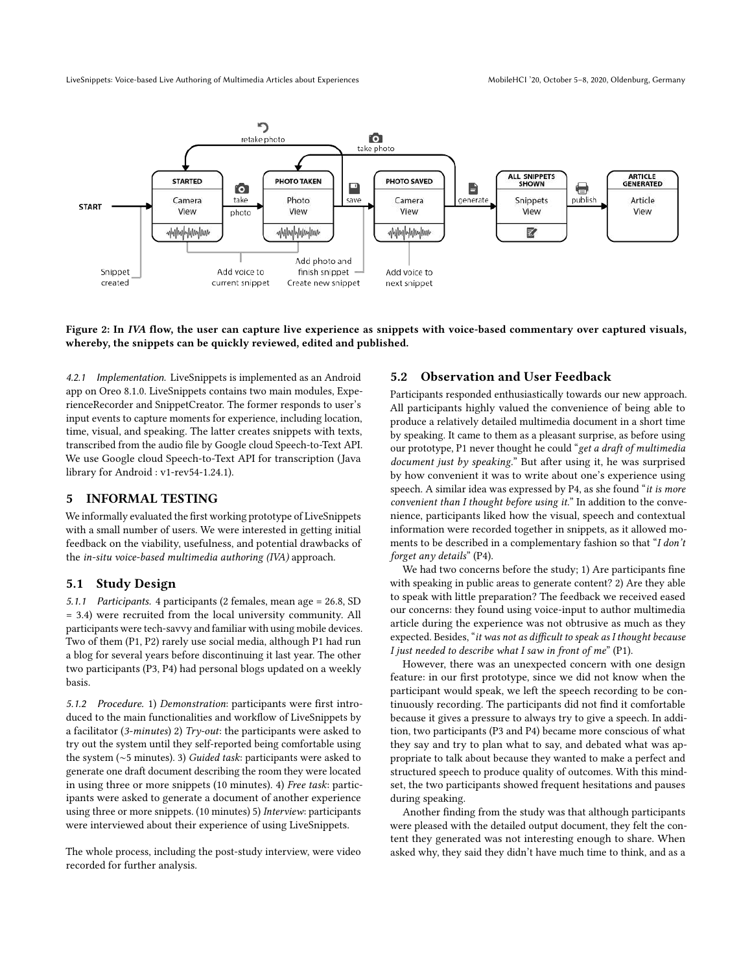<span id="page-4-0"></span>

#### Figure 2: In IVA flow, the user can capture live experience as snippets with voice-based commentary over captured visuals, whereby, the snippets can be quickly reviewed, edited and published.

4.2.1 Implementation. LiveSnippets is implemented as an Android app on Oreo 8.1.0. LiveSnippets contains two main modules, ExperienceRecorder and SnippetCreator. The former responds to user's input events to capture moments for experience, including location, time, visual, and speaking. The latter creates snippets with texts, transcribed from the audio file by Google cloud Speech-to-Text API. We use Google cloud Speech-to-Text API for transcription (Java library for Android : v1-rev54-1.24.1).

#### 5 INFORMAL TESTING

We informally evaluated the first working prototype of LiveSnippets with a small number of users. We were interested in getting initial feedback on the viability, usefulness, and potential drawbacks of the in-situ voice-based multimedia authoring (IVA) approach.

#### 5.1 Study Design

5.1.1 Participants. 4 participants (2 females, mean age = 26.8, SD = 3.4) were recruited from the local university community. All participants were tech-savvy and familiar with using mobile devices. Two of them (P1, P2) rarely use social media, although P1 had run a blog for several years before discontinuing it last year. The other two participants (P3, P4) had personal blogs updated on a weekly basis.

5.1.2 Procedure. 1) Demonstration: participants were first introduced to the main functionalities and workflow of LiveSnippets by a facilitator (3-minutes) 2) Try-out: the participants were asked to try out the system until they self-reported being comfortable using the system (∼5 minutes). 3) Guided task: participants were asked to generate one draft document describing the room they were located in using three or more snippets (10 minutes). 4) Free task: participants were asked to generate a document of another experience using three or more snippets. (10 minutes) 5) Interview: participants were interviewed about their experience of using LiveSnippets.

The whole process, including the post-study interview, were video recorded for further analysis.

#### 5.2 Observation and User Feedback

Participants responded enthusiastically towards our new approach. All participants highly valued the convenience of being able to produce a relatively detailed multimedia document in a short time by speaking. It came to them as a pleasant surprise, as before using our prototype, P1 never thought he could "get a draft of multimedia document just by speaking." But after using it, he was surprised by how convenient it was to write about one's experience using speech. A similar idea was expressed by P4, as she found "it is more convenient than I thought before using it." In addition to the convenience, participants liked how the visual, speech and contextual information were recorded together in snippets, as it allowed moments to be described in a complementary fashion so that "I don't forget any details" (P4).

We had two concerns before the study; 1) Are participants fine with speaking in public areas to generate content? 2) Are they able to speak with little preparation? The feedback we received eased our concerns: they found using voice-input to author multimedia article during the experience was not obtrusive as much as they expected. Besides, "it was not as difficult to speak as I thought because I just needed to describe what I saw in front of me"  $(P1)$ .

However, there was an unexpected concern with one design feature: in our first prototype, since we did not know when the participant would speak, we left the speech recording to be continuously recording. The participants did not find it comfortable because it gives a pressure to always try to give a speech. In addition, two participants (P3 and P4) became more conscious of what they say and try to plan what to say, and debated what was appropriate to talk about because they wanted to make a perfect and structured speech to produce quality of outcomes. With this mindset, the two participants showed frequent hesitations and pauses during speaking.

Another finding from the study was that although participants were pleased with the detailed output document, they felt the content they generated was not interesting enough to share. When asked why, they said they didn't have much time to think, and as a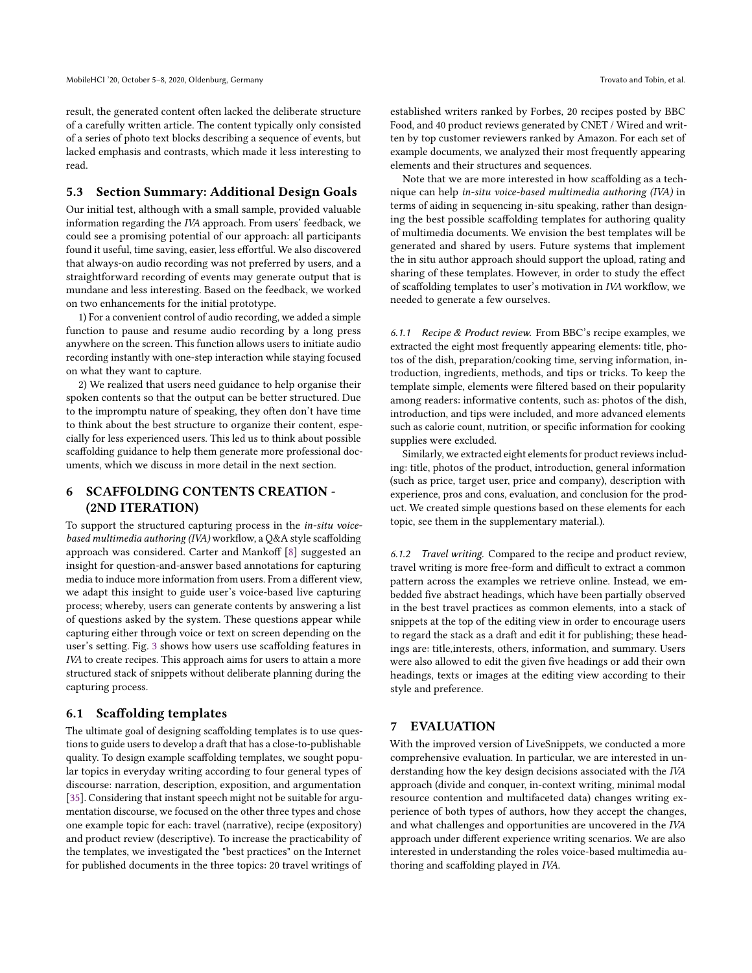result, the generated content often lacked the deliberate structure of a carefully written article. The content typically only consisted of a series of photo text blocks describing a sequence of events, but lacked emphasis and contrasts, which made it less interesting to read.

#### 5.3 Section Summary: Additional Design Goals

Our initial test, although with a small sample, provided valuable information regarding the IVA approach. From users' feedback, we could see a promising potential of our approach: all participants found it useful, time saving, easier, less effortful. We also discovered that always-on audio recording was not preferred by users, and a straightforward recording of events may generate output that is mundane and less interesting. Based on the feedback, we worked on two enhancements for the initial prototype.

1) For a convenient control of audio recording, we added a simple function to pause and resume audio recording by a long press anywhere on the screen. This function allows users to initiate audio recording instantly with one-step interaction while staying focused on what they want to capture.

2) We realized that users need guidance to help organise their spoken contents so that the output can be better structured. Due to the impromptu nature of speaking, they often don't have time to think about the best structure to organize their content, especially for less experienced users. This led us to think about possible scaffolding guidance to help them generate more professional documents, which we discuss in more detail in the next section.

## 6 SCAFFOLDING CONTENTS CREATION - (2ND ITERATION)

To support the structured capturing process in the in-situ voicebased multimedia authoring (IVA) workflow, a Q&A style scaffolding approach was considered. Carter and Mankoff [\[8\]](#page-10-6) suggested an insight for question-and-answer based annotations for capturing media to induce more information from users. From a different view, we adapt this insight to guide user's voice-based live capturing process; whereby, users can generate contents by answering a list of questions asked by the system. These questions appear while capturing either through voice or text on screen depending on the user's setting. Fig. [3](#page-6-0) shows how users use scaffolding features in IVA to create recipes. This approach aims for users to attain a more structured stack of snippets without deliberate planning during the capturing process.

#### 6.1 Scaffolding templates

The ultimate goal of designing scaffolding templates is to use questions to guide users to develop a draft that has a close-to-publishable quality. To design example scaffolding templates, we sought popular topics in everyday writing according to four general types of discourse: narration, description, exposition, and argumentation [\[35\]](#page-10-33). Considering that instant speech might not be suitable for argumentation discourse, we focused on the other three types and chose one example topic for each: travel (narrative), recipe (expository) and product review (descriptive). To increase the practicability of the templates, we investigated the "best practices" on the Internet for published documents in the three topics: 20 travel writings of

established writers ranked by Forbes, 20 recipes posted by BBC Food, and 40 product reviews generated by CNET / Wired and written by top customer reviewers ranked by Amazon. For each set of example documents, we analyzed their most frequently appearing elements and their structures and sequences.

Note that we are more interested in how scaffolding as a technique can help in-situ voice-based multimedia authoring (IVA) in terms of aiding in sequencing in-situ speaking, rather than designing the best possible scaffolding templates for authoring quality of multimedia documents. We envision the best templates will be generated and shared by users. Future systems that implement the in situ author approach should support the upload, rating and sharing of these templates. However, in order to study the effect of scaffolding templates to user's motivation in IVA workflow, we needed to generate a few ourselves.

6.1.1 Recipe & Product review. From BBC's recipe examples, we extracted the eight most frequently appearing elements: title, photos of the dish, preparation/cooking time, serving information, introduction, ingredients, methods, and tips or tricks. To keep the template simple, elements were filtered based on their popularity among readers: informative contents, such as: photos of the dish, introduction, and tips were included, and more advanced elements such as calorie count, nutrition, or specific information for cooking supplies were excluded.

Similarly, we extracted eight elements for product reviews including: title, photos of the product, introduction, general information (such as price, target user, price and company), description with experience, pros and cons, evaluation, and conclusion for the product. We created simple questions based on these elements for each topic, see them in the supplementary material.).

6.1.2 Travel writing. Compared to the recipe and product review, travel writing is more free-form and difficult to extract a common pattern across the examples we retrieve online. Instead, we embedded five abstract headings, which have been partially observed in the best travel practices as common elements, into a stack of snippets at the top of the editing view in order to encourage users to regard the stack as a draft and edit it for publishing; these headings are: title,interests, others, information, and summary. Users were also allowed to edit the given five headings or add their own headings, texts or images at the editing view according to their style and preference.

#### 7 EVALUATION

With the improved version of LiveSnippets, we conducted a more comprehensive evaluation. In particular, we are interested in understanding how the key design decisions associated with the IVA approach (divide and conquer, in-context writing, minimal modal resource contention and multifaceted data) changes writing experience of both types of authors, how they accept the changes, and what challenges and opportunities are uncovered in the IVA approach under different experience writing scenarios. We are also interested in understanding the roles voice-based multimedia authoring and scaffolding played in IVA.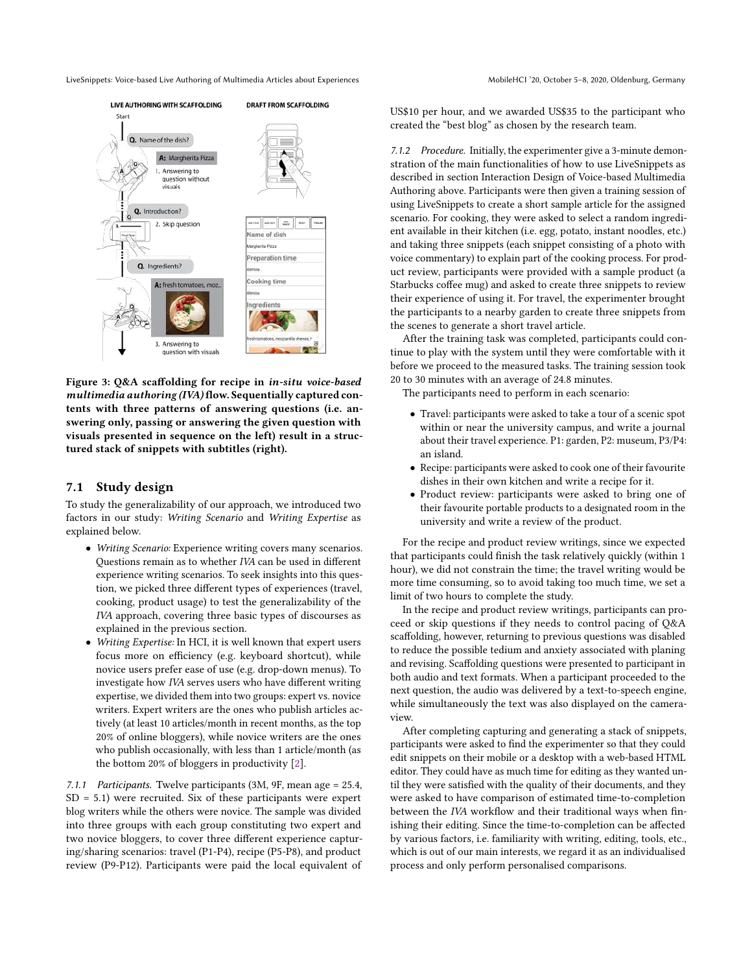<span id="page-6-0"></span>

Figure 3: Q&A scaffolding for recipe in in-situ voice-based multimedia authoring (IVA) flow. Sequentially captured contents with three patterns of answering questions (i.e. answering only, passing or answering the given question with visuals presented in sequence on the left) result in a structured stack of snippets with subtitles (right).

#### 7.1 Study design

To study the generalizability of our approach, we introduced two factors in our study: Writing Scenario and Writing Expertise as explained below.

- Writing Scenario: Experience writing covers many scenarios. Questions remain as to whether IVA can be used in different experience writing scenarios. To seek insights into this question, we picked three different types of experiences (travel, cooking, product usage) to test the generalizability of the IVA approach, covering three basic types of discourses as explained in the previous section.
- Writing Expertise: In HCI, it is well known that expert users focus more on efficiency (e.g. keyboard shortcut), while novice users prefer ease of use (e.g. drop-down menus). To investigate how IVA serves users who have different writing expertise, we divided them into two groups: expert vs. novice writers. Expert writers are the ones who publish articles actively (at least 10 articles/month in recent months, as the top 20% of online bloggers), while novice writers are the ones who publish occasionally, with less than 1 article/month (as the bottom 20% of bloggers in productivity [\[2\]](#page-10-34).

7.1.1 Participants. Twelve participants (3M, 9F, mean age = 25.4,  $SD = 5.1$ ) were recruited. Six of these participants were expert blog writers while the others were novice. The sample was divided into three groups with each group constituting two expert and two novice bloggers, to cover three different experience capturing/sharing scenarios: travel (P1-P4), recipe (P5-P8), and product review (P9-P12). Participants were paid the local equivalent of US\$10 per hour, and we awarded US\$35 to the participant who created the "best blog" as chosen by the research team.

7.1.2 Procedure. Initially, the experimenter give a 3-minute demonstration of the main functionalities of how to use LiveSnippets as described in section Interaction Design of Voice-based Multimedia Authoring above. Participants were then given a training session of using LiveSnippets to create a short sample article for the assigned scenario. For cooking, they were asked to select a random ingredient available in their kitchen (i.e. egg, potato, instant noodles, etc.) and taking three snippets (each snippet consisting of a photo with voice commentary) to explain part of the cooking process. For product review, participants were provided with a sample product (a Starbucks coffee mug) and asked to create three snippets to review their experience of using it. For travel, the experimenter brought the participants to a nearby garden to create three snippets from the scenes to generate a short travel article.

After the training task was completed, participants could continue to play with the system until they were comfortable with it before we proceed to the measured tasks. The training session took 20 to 30 minutes with an average of 24.8 minutes.

The participants need to perform in each scenario:

- Travel: participants were asked to take a tour of a scenic spot within or near the university campus, and write a journal about their travel experience. P1: garden, P2: museum, P3/P4: an island.
- Recipe: participants were asked to cook one of their favourite dishes in their own kitchen and write a recipe for it.
- Product review: participants were asked to bring one of their favourite portable products to a designated room in the university and write a review of the product.

For the recipe and product review writings, since we expected that participants could finish the task relatively quickly (within 1 hour), we did not constrain the time; the travel writing would be more time consuming, so to avoid taking too much time, we set a limit of two hours to complete the study.

In the recipe and product review writings, participants can proceed or skip questions if they needs to control pacing of Q&A scaffolding, however, returning to previous questions was disabled to reduce the possible tedium and anxiety associated with planing and revising. Scaffolding questions were presented to participant in both audio and text formats. When a participant proceeded to the next question, the audio was delivered by a text-to-speech engine, while simultaneously the text was also displayed on the cameraview.

After completing capturing and generating a stack of snippets, participants were asked to find the experimenter so that they could edit snippets on their mobile or a desktop with a web-based HTML editor. They could have as much time for editing as they wanted until they were satisfied with the quality of their documents, and they were asked to have comparison of estimated time-to-completion between the IVA workflow and their traditional ways when finishing their editing. Since the time-to-completion can be affected by various factors, i.e. familiarity with writing, editing, tools, etc., which is out of our main interests, we regard it as an individualised process and only perform personalised comparisons.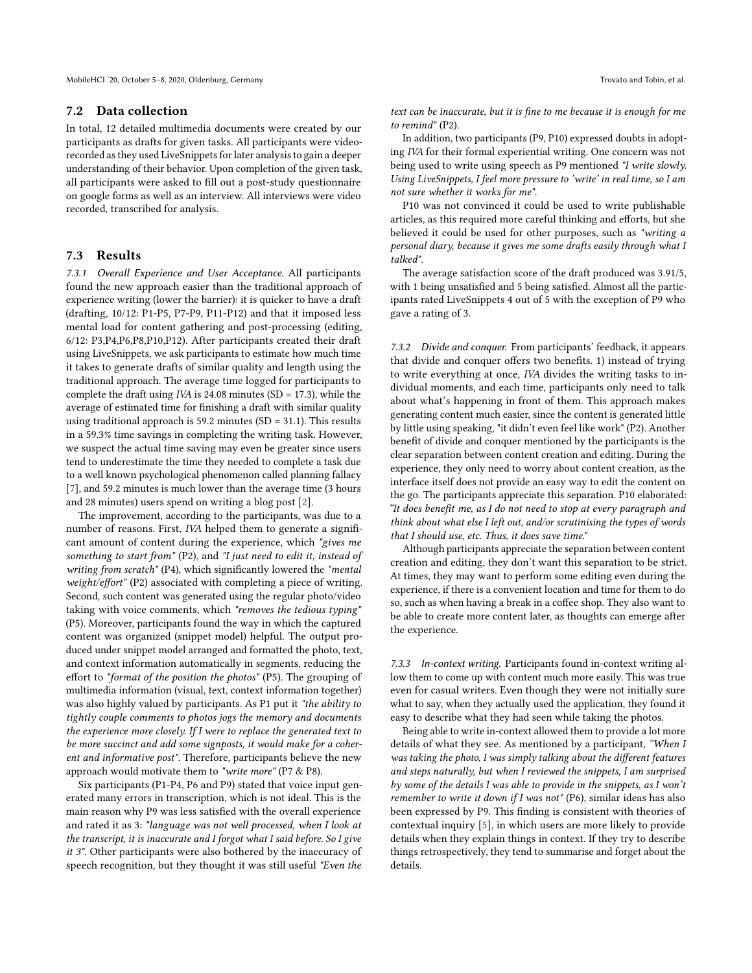#### 7.2 Data collection

In total, 12 detailed multimedia documents were created by our participants as drafts for given tasks. All participants were videorecorded as they used LiveSnippets for later analysis to gain a deeper understanding of their behavior. Upon completion of the given task, all participants were asked to fill out a post-study questionnaire on google forms as well as an interview. All interviews were video recorded, transcribed for analysis.

#### 7.3 Results

7.3.1 Overall Experience and User Acceptance. All participants found the new approach easier than the traditional approach of experience writing (lower the barrier): it is quicker to have a draft (drafting, 10/12: P1-P5, P7-P9, P11-P12) and that it imposed less mental load for content gathering and post-processing (editing, 6/12: P3,P4,P6,P8,P10,P12). After participants created their draft using LiveSnippets, we ask participants to estimate how much time it takes to generate drafts of similar quality and length using the traditional approach. The average time logged for participants to complete the draft using IVA is 24.08 minutes (SD = 17.3), while the average of estimated time for finishing a draft with similar quality using traditional approach is  $59.2$  minutes (SD =  $31.1$ ). This results in a 59.3% time savings in completing the writing task. However, we suspect the actual time saving may even be greater since users tend to underestimate the time they needed to complete a task due to a well known psychological phenomenon called planning fallacy [\[7\]](#page-10-35), and 59.2 minutes is much lower than the average time (3 hours and 28 minutes) users spend on writing a blog post [\[2\]](#page-10-34).

The improvement, according to the participants, was due to a number of reasons. First, IVA helped them to generate a significant amount of content during the experience, which "gives me something to start from" (P2), and "I just need to edit it, instead of writing from scratch" (P4), which significantly lowered the "mental weight/effort" (P2) associated with completing a piece of writing. Second, such content was generated using the regular photo/video taking with voice comments, which "removes the tedious typing" (P5). Moreover, participants found the way in which the captured content was organized (snippet model) helpful. The output produced under snippet model arranged and formatted the photo, text, and context information automatically in segments, reducing the effort to "format of the position the photos" (P5). The grouping of multimedia information (visual, text, context information together) was also highly valued by participants. As P1 put it "the ability to tightly couple comments to photos jogs the memory and documents the experience more closely. If I were to replace the generated text to be more succinct and add some signposts, it would make for a coherent and informative post". Therefore, participants believe the new approach would motivate them to "write more" (P7 & P8).

Six participants (P1-P4, P6 and P9) stated that voice input generated many errors in transcription, which is not ideal. This is the main reason why P9 was less satisfied with the overall experience and rated it as 3: "language was not well processed, when I look at the transcript, it is inaccurate and I forgot what I said before. So I give it 3". Other participants were also bothered by the inaccuracy of speech recognition, but they thought it was still useful "Even the

text can be inaccurate, but it is fine to me because it is enough for me to remind" (P2).

In addition, two participants (P9, P10) expressed doubts in adopting IVA for their formal experiential writing. One concern was not being used to write using speech as P9 mentioned "I write slowly. Using LiveSnippets, I feel more pressure to 'write' in real time, so I am not sure whether it works for me".

P10 was not convinced it could be used to write publishable articles, as this required more careful thinking and efforts, but she believed it could be used for other purposes, such as "writing a personal diary, because it gives me some drafts easily through what I talked".

The average satisfaction score of the draft produced was 3.91/5, with 1 being unsatisfied and 5 being satisfied. Almost all the participants rated LiveSnippets 4 out of 5 with the exception of P9 who gave a rating of 3.

7.3.2 Divide and conquer. From participants' feedback, it appears that divide and conquer offers two benefits. 1) instead of trying to write everything at once, IVA divides the writing tasks to individual moments, and each time, participants only need to talk about what's happening in front of them. This approach makes generating content much easier, since the content is generated little by little using speaking, "it didn't even feel like work" (P2). Another benefit of divide and conquer mentioned by the participants is the clear separation between content creation and editing. During the experience, they only need to worry about content creation, as the interface itself does not provide an easy way to edit the content on the go. The participants appreciate this separation. P10 elaborated: "It does benefit me, as I do not need to stop at every paragraph and think about what else I left out, and/or scrutinising the types of words that I should use, etc. Thus, it does save time."

Although participants appreciate the separation between content creation and editing, they don't want this separation to be strict. At times, they may want to perform some editing even during the experience, if there is a convenient location and time for them to do so, such as when having a break in a coffee shop. They also want to be able to create more content later, as thoughts can emerge after the experience.

7.3.3 In-context writing. Participants found in-context writing allow them to come up with content much more easily. This was true even for casual writers. Even though they were not initially sure what to say, when they actually used the application, they found it easy to describe what they had seen while taking the photos.

Being able to write in-context allowed them to provide a lot more details of what they see. As mentioned by a participant, "When I was taking the photo, I was simply talking about the different features and steps naturally, but when I reviewed the snippets, I am surprised by some of the details I was able to provide in the snippets, as I won't remember to write it down if I was not" (P6), similar ideas has also been expressed by P9. This finding is consistent with theories of contextual inquiry [\[5\]](#page-10-36), in which users are more likely to provide details when they explain things in context. If they try to describe things retrospectively, they tend to summarise and forget about the details.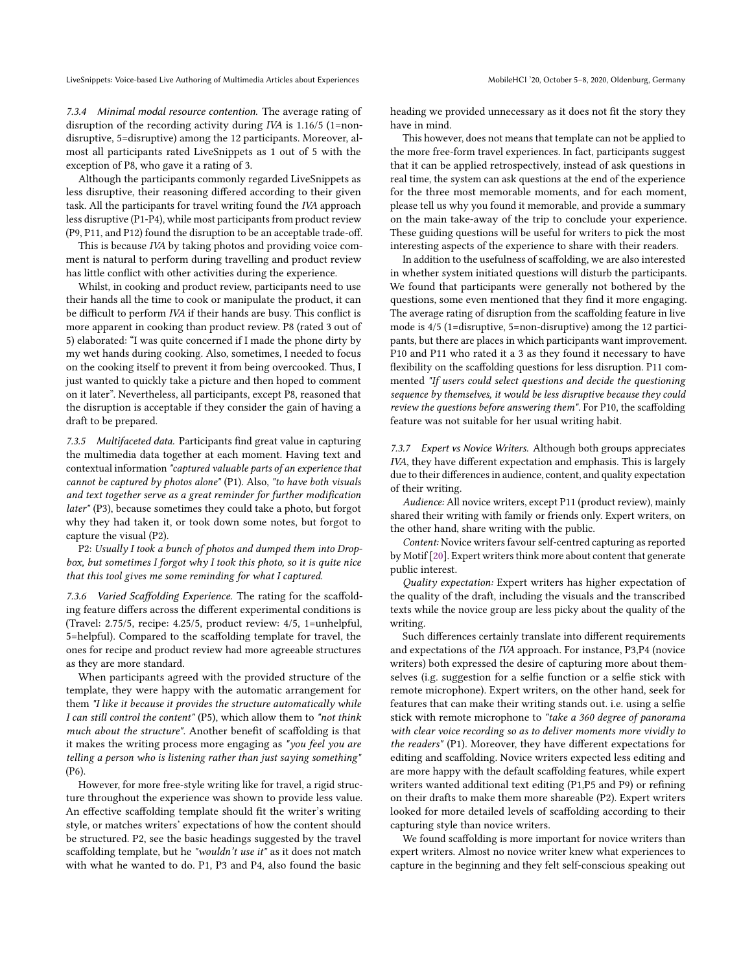7.3.4 Minimal modal resource contention. The average rating of disruption of the recording activity during IVA is 1.16/5 (1=nondisruptive, 5=disruptive) among the 12 participants. Moreover, almost all participants rated LiveSnippets as 1 out of 5 with the exception of P8, who gave it a rating of 3.

Although the participants commonly regarded LiveSnippets as less disruptive, their reasoning differed according to their given task. All the participants for travel writing found the IVA approach less disruptive (P1-P4), while most participants from product review (P9, P11, and P12) found the disruption to be an acceptable trade-off.

This is because IVA by taking photos and providing voice comment is natural to perform during travelling and product review has little conflict with other activities during the experience.

Whilst, in cooking and product review, participants need to use their hands all the time to cook or manipulate the product, it can be difficult to perform IVA if their hands are busy. This conflict is more apparent in cooking than product review. P8 (rated 3 out of 5) elaborated: "I was quite concerned if I made the phone dirty by my wet hands during cooking. Also, sometimes, I needed to focus on the cooking itself to prevent it from being overcooked. Thus, I just wanted to quickly take a picture and then hoped to comment on it later". Nevertheless, all participants, except P8, reasoned that the disruption is acceptable if they consider the gain of having a draft to be prepared.

7.3.5 Multifaceted data. Participants find great value in capturing the multimedia data together at each moment. Having text and contextual information "captured valuable parts of an experience that cannot be captured by photos alone" (P1). Also, "to have both visuals and text together serve as a great reminder for further modification later" (P3), because sometimes they could take a photo, but forgot why they had taken it, or took down some notes, but forgot to capture the visual (P2).

P2: Usually I took a bunch of photos and dumped them into Dropbox, but sometimes I forgot why I took this photo, so it is quite nice that this tool gives me some reminding for what I captured.

7.3.6 Varied Scaffolding Experience. The rating for the scaffolding feature differs across the different experimental conditions is (Travel: 2.75/5, recipe: 4.25/5, product review: 4/5, 1=unhelpful, 5=helpful). Compared to the scaffolding template for travel, the ones for recipe and product review had more agreeable structures as they are more standard.

When participants agreed with the provided structure of the template, they were happy with the automatic arrangement for them "I like it because it provides the structure automatically while I can still control the content" (P5), which allow them to "not think much about the structure". Another benefit of scaffolding is that it makes the writing process more engaging as "you feel you are telling a person who is listening rather than just saying something" (P6).

However, for more free-style writing like for travel, a rigid structure throughout the experience was shown to provide less value. An effective scaffolding template should fit the writer's writing style, or matches writers' expectations of how the content should be structured. P2, see the basic headings suggested by the travel scaffolding template, but he "wouldn't use it" as it does not match with what he wanted to do. P1, P3 and P4, also found the basic

heading we provided unnecessary as it does not fit the story they have in mind.

This however, does not means that template can not be applied to the more free-form travel experiences. In fact, participants suggest that it can be applied retrospectively, instead of ask questions in real time, the system can ask questions at the end of the experience for the three most memorable moments, and for each moment, please tell us why you found it memorable, and provide a summary on the main take-away of the trip to conclude your experience. These guiding questions will be useful for writers to pick the most interesting aspects of the experience to share with their readers.

In addition to the usefulness of scaffolding, we are also interested in whether system initiated questions will disturb the participants. We found that participants were generally not bothered by the questions, some even mentioned that they find it more engaging. The average rating of disruption from the scaffolding feature in live mode is 4/5 (1=disruptive, 5=non-disruptive) among the 12 participants, but there are places in which participants want improvement. P10 and P11 who rated it a 3 as they found it necessary to have flexibility on the scaffolding questions for less disruption. P11 commented "If users could select questions and decide the questioning sequence by themselves, it would be less disruptive because they could review the questions before answering them". For P10, the scaffolding feature was not suitable for her usual writing habit.

7.3.7 Expert vs Novice Writers. Although both groups appreciates IVA, they have different expectation and emphasis. This is largely due to their differences in audience, content, and quality expectation of their writing.

Audience: All novice writers, except P11 (product review), mainly shared their writing with family or friends only. Expert writers, on the other hand, share writing with the public.

Content: Novice writers favour self-centred capturing as reported by Motif [\[20\]](#page-10-26). Expert writers think more about content that generate public interest.

Quality expectation: Expert writers has higher expectation of the quality of the draft, including the visuals and the transcribed texts while the novice group are less picky about the quality of the writing.

Such differences certainly translate into different requirements and expectations of the IVA approach. For instance, P3,P4 (novice writers) both expressed the desire of capturing more about themselves (i.g. suggestion for a selfie function or a selfie stick with remote microphone). Expert writers, on the other hand, seek for features that can make their writing stands out. i.e. using a selfie stick with remote microphone to "take a 360 degree of panorama with clear voice recording so as to deliver moments more vividly to the readers" (P1). Moreover, they have different expectations for editing and scaffolding. Novice writers expected less editing and are more happy with the default scaffolding features, while expert writers wanted additional text editing (P1,P5 and P9) or refining on their drafts to make them more shareable (P2). Expert writers looked for more detailed levels of scaffolding according to their capturing style than novice writers.

We found scaffolding is more important for novice writers than expert writers. Almost no novice writer knew what experiences to capture in the beginning and they felt self-conscious speaking out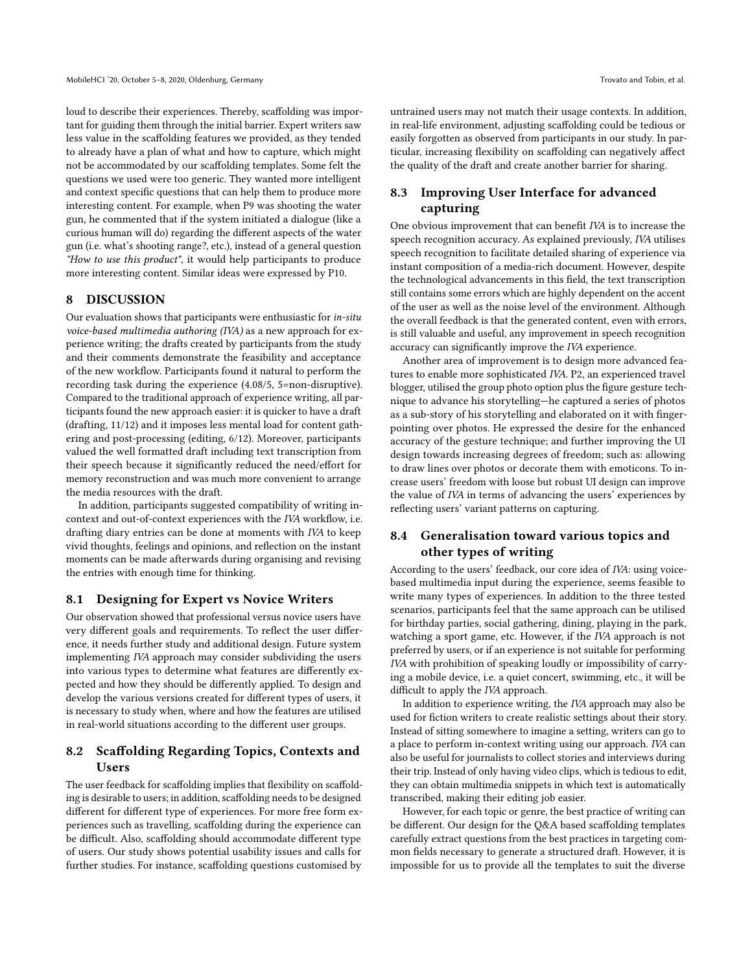loud to describe their experiences. Thereby, scaffolding was important for guiding them through the initial barrier. Expert writers saw less value in the scaffolding features we provided, as they tended to already have a plan of what and how to capture, which might not be accommodated by our scaffolding templates. Some felt the questions we used were too generic. They wanted more intelligent and context specific questions that can help them to produce more interesting content. For example, when P9 was shooting the water gun, he commented that if the system initiated a dialogue (like a curious human will do) regarding the different aspects of the water gun (i.e. what's shooting range?, etc.), instead of a general question "How to use this product", it would help participants to produce more interesting content. Similar ideas were expressed by P10.

#### 8 DISCUSSION

Our evaluation shows that participants were enthusiastic for in-situ voice-based multimedia authoring (IVA) as a new approach for experience writing; the drafts created by participants from the study and their comments demonstrate the feasibility and acceptance of the new workflow. Participants found it natural to perform the recording task during the experience (4.08/5, 5=non-disruptive). Compared to the traditional approach of experience writing, all participants found the new approach easier: it is quicker to have a draft (drafting, 11/12) and it imposes less mental load for content gathering and post-processing (editing, 6/12). Moreover, participants valued the well formatted draft including text transcription from their speech because it significantly reduced the need/effort for memory reconstruction and was much more convenient to arrange the media resources with the draft.

In addition, participants suggested compatibility of writing incontext and out-of-context experiences with the IVA workflow, i.e. drafting diary entries can be done at moments with IVA to keep vivid thoughts, feelings and opinions, and reflection on the instant moments can be made afterwards during organising and revising the entries with enough time for thinking.

#### 8.1 Designing for Expert vs Novice Writers

Our observation showed that professional versus novice users have very different goals and requirements. To reflect the user difference, it needs further study and additional design. Future system implementing IVA approach may consider subdividing the users into various types to determine what features are differently expected and how they should be differently applied. To design and develop the various versions created for different types of users, it is necessary to study when, where and how the features are utilised in real-world situations according to the different user groups.

### 8.2 Scaffolding Regarding Topics, Contexts and Users

The user feedback for scaffolding implies that flexibility on scaffolding is desirable to users; in addition, scaffolding needs to be designed different for different type of experiences. For more free form experiences such as travelling, scaffolding during the experience can be difficult. Also, scaffolding should accommodate different type of users. Our study shows potential usability issues and calls for further studies. For instance, scaffolding questions customised by

untrained users may not match their usage contexts. In addition, in real-life environment, adjusting scaffolding could be tedious or easily forgotten as observed from participants in our study. In particular, increasing flexibility on scaffolding can negatively affect the quality of the draft and create another barrier for sharing.

## 8.3 Improving User Interface for advanced capturing

One obvious improvement that can benefit IVA is to increase the speech recognition accuracy. As explained previously, IVA utilises speech recognition to facilitate detailed sharing of experience via instant composition of a media-rich document. However, despite the technological advancements in this field, the text transcription still contains some errors which are highly dependent on the accent of the user as well as the noise level of the environment. Although the overall feedback is that the generated content, even with errors, is still valuable and useful, any improvement in speech recognition accuracy can significantly improve the IVA experience.

Another area of improvement is to design more advanced features to enable more sophisticated IVA. P2, an experienced travel blogger, utilised the group photo option plus the figure gesture technique to advance his storytelling—he captured a series of photos as a sub-story of his storytelling and elaborated on it with fingerpointing over photos. He expressed the desire for the enhanced accuracy of the gesture technique; and further improving the UI design towards increasing degrees of freedom; such as: allowing to draw lines over photos or decorate them with emoticons. To increase users' freedom with loose but robust UI design can improve the value of IVA in terms of advancing the users' experiences by reflecting users' variant patterns on capturing.

## 8.4 Generalisation toward various topics and other types of writing

According to the users' feedback, our core idea of IVA: using voicebased multimedia input during the experience, seems feasible to write many types of experiences. In addition to the three tested scenarios, participants feel that the same approach can be utilised for birthday parties, social gathering, dining, playing in the park, watching a sport game, etc. However, if the IVA approach is not preferred by users, or if an experience is not suitable for performing IVA with prohibition of speaking loudly or impossibility of carrying a mobile device, i.e. a quiet concert, swimming, etc., it will be difficult to apply the IVA approach.

In addition to experience writing, the IVA approach may also be used for fiction writers to create realistic settings about their story. Instead of sitting somewhere to imagine a setting, writers can go to a place to perform in-context writing using our approach. IVA can also be useful for journalists to collect stories and interviews during their trip. Instead of only having video clips, which is tedious to edit, they can obtain multimedia snippets in which text is automatically transcribed, making their editing job easier.

However, for each topic or genre, the best practice of writing can be different. Our design for the Q&A based scaffolding templates carefully extract questions from the best practices in targeting common fields necessary to generate a structured draft. However, it is impossible for us to provide all the templates to suit the diverse